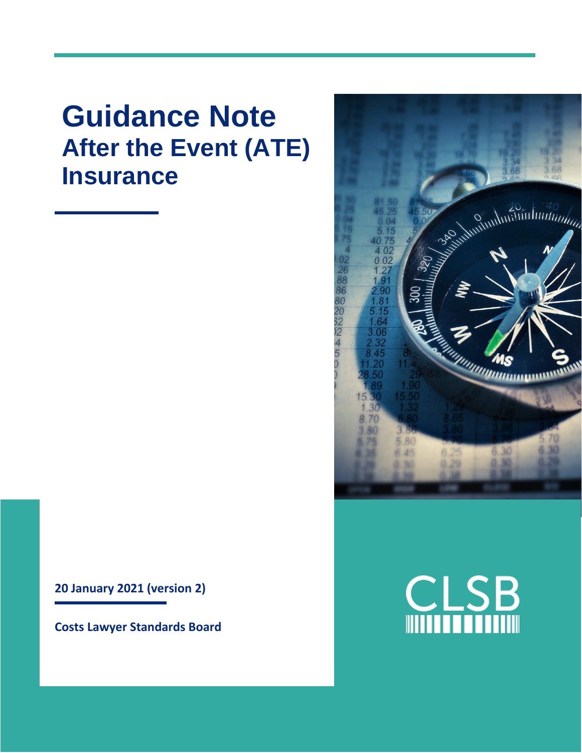# **Guidance Note After the Event (ATE) Insurance**

**20 January 2021 (version 2)**

**Costs Lawyer Standards Board**



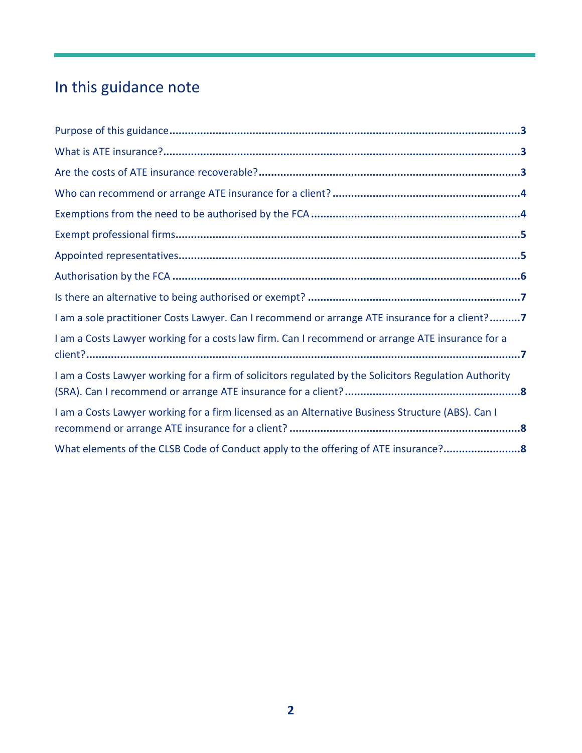## In this guidance note

| I am a sole practitioner Costs Lawyer. Can I recommend or arrange ATE insurance for a client?7        |  |
|-------------------------------------------------------------------------------------------------------|--|
| I am a Costs Lawyer working for a costs law firm. Can I recommend or arrange ATE insurance for a      |  |
| I am a Costs Lawyer working for a firm of solicitors regulated by the Solicitors Regulation Authority |  |
| I am a Costs Lawyer working for a firm licensed as an Alternative Business Structure (ABS). Can I     |  |
| What elements of the CLSB Code of Conduct apply to the offering of ATE insurance?8                    |  |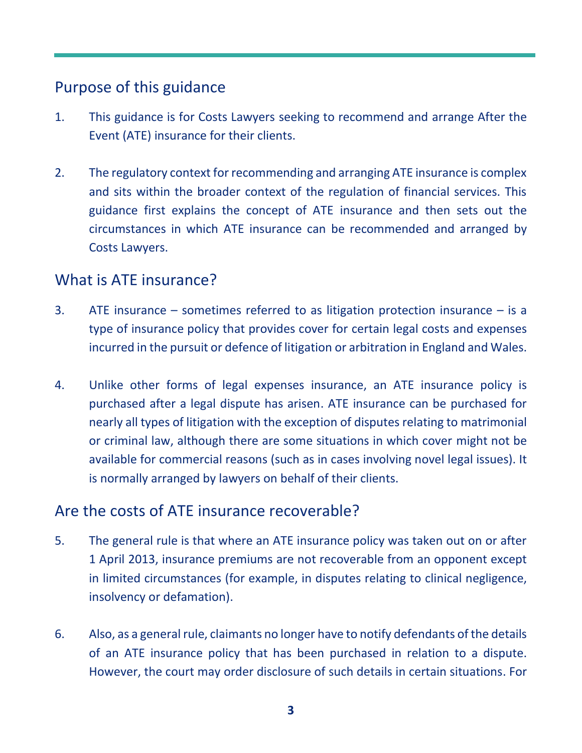### <span id="page-2-0"></span>Purpose of this guidance

- 1. This guidance is for Costs Lawyers seeking to recommend and arrange After the Event (ATE) insurance for their clients.
- 2. The regulatory context for recommending and arranging ATE insurance is complex and sits within the broader context of the regulation of financial services. This guidance first explains the concept of ATE insurance and then sets out the circumstances in which ATE insurance can be recommended and arranged by Costs Lawyers.

#### <span id="page-2-1"></span>What is ATE insurance?

- 3. ATE insurance sometimes referred to as litigation protection insurance is a type of insurance policy that provides cover for certain legal costs and expenses incurred in the pursuit or defence of litigation or arbitration in England and Wales.
- 4. Unlike other forms of legal expenses insurance, an ATE insurance policy is purchased after a legal dispute has arisen. ATE insurance can be purchased for nearly all types of litigation with the exception of disputes relating to matrimonial or criminal law, although there are some situations in which cover might not be available for commercial reasons (such as in cases involving novel legal issues). It is normally arranged by lawyers on behalf of their clients.

#### <span id="page-2-2"></span>Are the costs of ATE insurance recoverable?

- 5. The general rule is that where an ATE insurance policy was taken out on or after 1 April 2013, insurance premiums are not recoverable from an opponent except in limited circumstances (for example, in disputes relating to clinical negligence, insolvency or defamation).
- 6. Also, as a general rule, claimants no longer have to notify defendants of the details of an ATE insurance policy that has been purchased in relation to a dispute. However, the court may order disclosure of such details in certain situations. For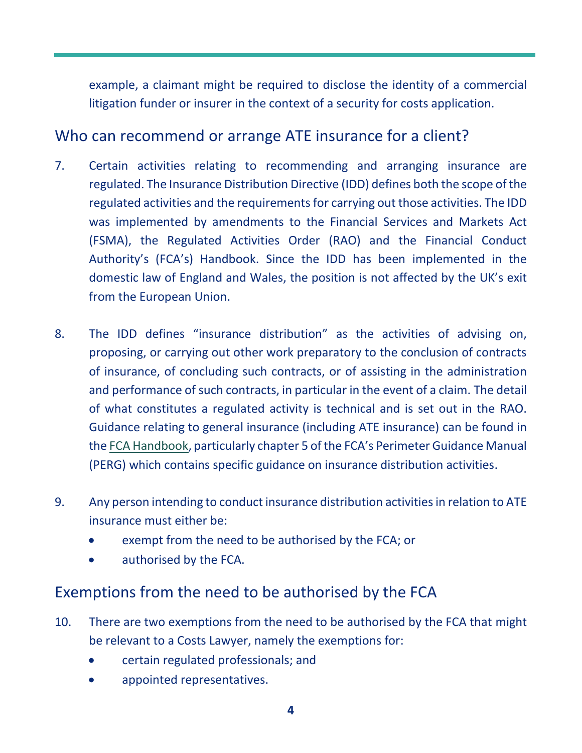example, a claimant might be required to disclose the identity of a commercial litigation funder or insurer in the context of a security for costs application.

#### <span id="page-3-0"></span>Who can recommend or arrange ATE insurance for a client?

- 7. Certain activities relating to recommending and arranging insurance are regulated. The Insurance Distribution Directive (IDD) defines both the scope of the regulated activities and the requirements for carrying out those activities. The IDD was implemented by amendments to the Financial Services and Markets Act (FSMA), the Regulated Activities Order (RAO) and the Financial Conduct Authority's (FCA's) Handbook. Since the IDD has been implemented in the domestic law of England and Wales, the position is not affected by the UK's exit from the European Union.
- 8. The IDD defines "insurance distribution" as the activities of advising on, proposing, or carrying out other work preparatory to the conclusion of contracts of insurance, of concluding such contracts, or of assisting in the administration and performance of such contracts, in particular in the event of a claim. The detail of what constitutes a regulated activity is technical and is set out in the RAO. Guidance relating to general insurance (including ATE insurance) can be found in the [FCA Handbook,](https://www.handbook.fca.org.uk/handbook) particularly chapter 5 of the FCA's Perimeter Guidance Manual (PERG) which contains specific guidance on insurance distribution activities.
- 9. Any person intending to conduct insurance distribution activities in relation to ATE insurance must either be:
	- exempt from the need to be authorised by the FCA; or
	- authorised by the FCA.

#### <span id="page-3-1"></span>Exemptions from the need to be authorised by the FCA

- 10. There are two exemptions from the need to be authorised by the FCA that might be relevant to a Costs Lawyer, namely the exemptions for:
	- certain regulated professionals; and
	- appointed representatives.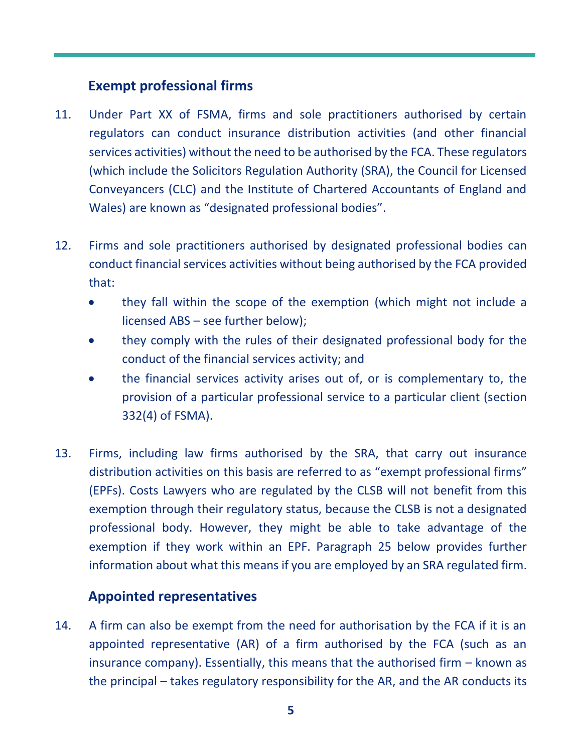#### **Exempt professional firms**

- <span id="page-4-0"></span>11. Under Part XX of FSMA, firms and sole practitioners authorised by certain regulators can conduct insurance distribution activities (and other financial services activities) without the need to be authorised by the FCA. These regulators (which include the Solicitors Regulation Authority (SRA), the Council for Licensed Conveyancers (CLC) and the Institute of Chartered Accountants of England and Wales) are known as "designated professional bodies".
- 12. Firms and sole practitioners authorised by designated professional bodies can conduct financial services activities without being authorised by the FCA provided that:
	- they fall within the scope of the exemption (which might not include a licensed ABS – see further below);
	- they comply with the rules of their designated professional body for the conduct of the financial services activity; and
	- the financial services activity arises out of, or is complementary to, the provision of a particular professional service to a particular client (section 332(4) of FSMA).
- 13. Firms, including law firms authorised by the SRA, that carry out insurance distribution activities on this basis are referred to as "exempt professional firms" (EPFs). Costs Lawyers who are regulated by the CLSB will not benefit from this exemption through their regulatory status, because the CLSB is not a designated professional body. However, they might be able to take advantage of the exemption if they work within an EPF. Paragraph 25 below provides further information about what this means if you are employed by an SRA regulated firm.

#### <span id="page-4-1"></span>**Appointed representatives**

14. A firm can also be exempt from the need for authorisation by the FCA if it is an appointed representative (AR) of a firm authorised by the FCA (such as an insurance company). Essentially, this means that the authorised firm – known as the principal – takes regulatory responsibility for the AR, and the AR conducts its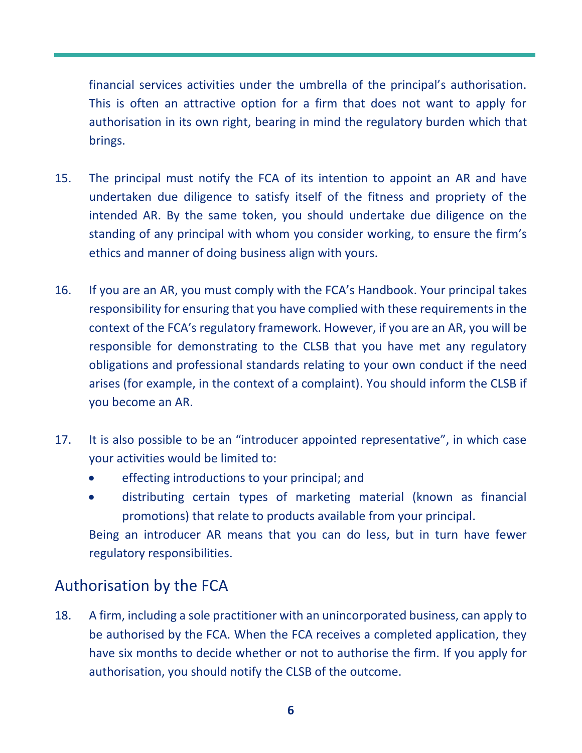financial services activities under the umbrella of the principal's authorisation. This is often an attractive option for a firm that does not want to apply for authorisation in its own right, bearing in mind the regulatory burden which that brings.

- 15. The principal must notify the FCA of its intention to appoint an AR and have undertaken due diligence to satisfy itself of the fitness and propriety of the intended AR. By the same token, you should undertake due diligence on the standing of any principal with whom you consider working, to ensure the firm's ethics and manner of doing business align with yours.
- 16. If you are an AR, you must comply with the FCA's Handbook. Your principal takes responsibility for ensuring that you have complied with these requirements in the context of the FCA's regulatory framework. However, if you are an AR, you will be responsible for demonstrating to the CLSB that you have met any regulatory obligations and professional standards relating to your own conduct if the need arises (for example, in the context of a complaint). You should inform the CLSB if you become an AR.
- 17. It is also possible to be an "introducer appointed representative", in which case your activities would be limited to:
	- effecting introductions to your principal; and
	- distributing certain types of marketing material (known as financial promotions) that relate to products available from your principal.

Being an introducer AR means that you can do less, but in turn have fewer regulatory responsibilities.

## <span id="page-5-0"></span>Authorisation by the FCA

18. A firm, including a sole practitioner with an unincorporated business, can apply to be authorised by the FCA. When the FCA receives a completed application, they have six months to decide whether or not to authorise the firm. If you apply for authorisation, you should notify the CLSB of the outcome.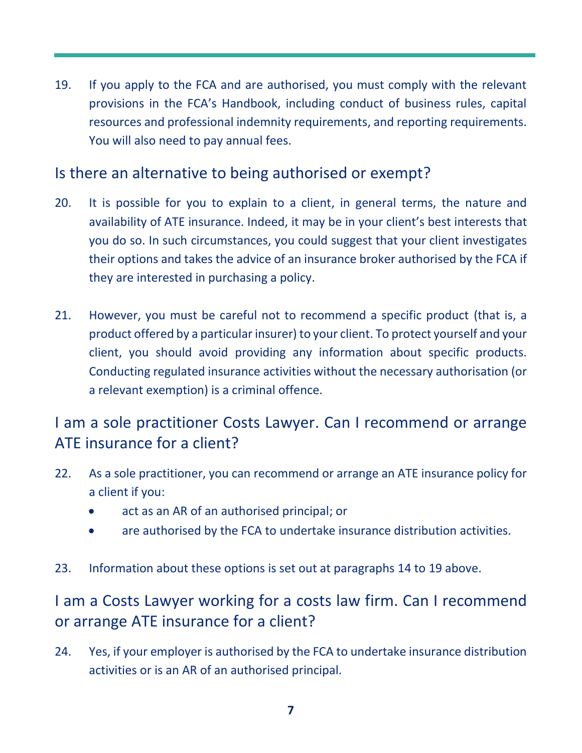19. If you apply to the FCA and are authorised, you must comply with the relevant provisions in the FCA's Handbook, including conduct of business rules, capital resources and professional indemnity requirements, and reporting requirements. You will also need to pay annual fees.

## <span id="page-6-0"></span>Is there an alternative to being authorised or exempt?

- 20. It is possible for you to explain to a client, in general terms, the nature and availability of ATE insurance. Indeed, it may be in your client's best interests that you do so. In such circumstances, you could suggest that your client investigates their options and takes the advice of an insurance broker authorised by the FCA if they are interested in purchasing a policy.
- 21. However, you must be careful not to recommend a specific product (that is, a product offered by a particular insurer) to your client. To protect yourself and your client, you should avoid providing any information about specific products. Conducting regulated insurance activities without the necessary authorisation (or a relevant exemption) is a criminal offence.

## <span id="page-6-1"></span>I am a sole practitioner Costs Lawyer. Can I recommend or arrange ATE insurance for a client?

- 22. As a sole practitioner, you can recommend or arrange an ATE insurance policy for a client if you:
	- act as an AR of an authorised principal; or
	- are authorised by the FCA to undertake insurance distribution activities.
- 23. Information about these options is set out at paragraphs 14 to 19 above.

## <span id="page-6-2"></span>I am a Costs Lawyer working for a costs law firm. Can I recommend or arrange ATE insurance for a client?

24. Yes, if your employer is authorised by the FCA to undertake insurance distribution activities or is an AR of an authorised principal.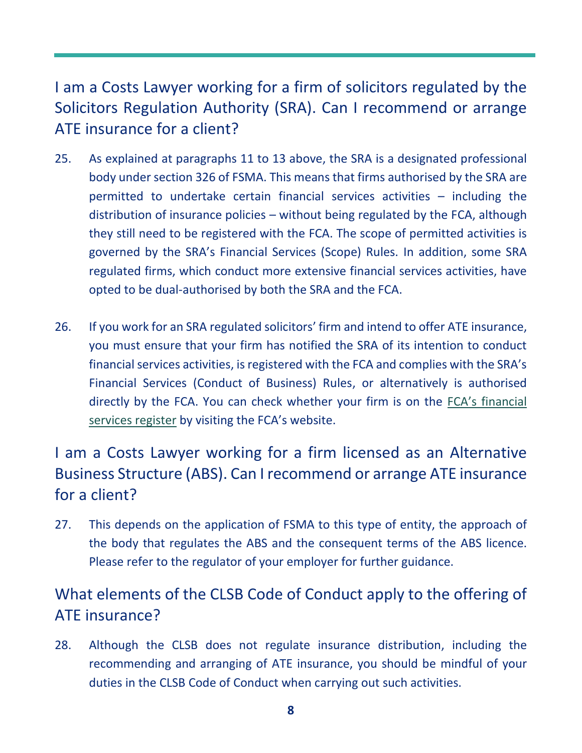## <span id="page-7-0"></span>I am a Costs Lawyer working for a firm of solicitors regulated by the Solicitors Regulation Authority (SRA). Can I recommend or arrange ATE insurance for a client?

- 25. As explained at paragraphs 11 to 13 above, the SRA is a designated professional body under section 326 of FSMA. This means that firms authorised by the SRA are permitted to undertake certain financial services activities – including the distribution of insurance policies – without being regulated by the FCA, although they still need to be registered with the FCA. The scope of permitted activities is governed by the SRA's Financial Services (Scope) Rules. In addition, some SRA regulated firms, which conduct more extensive financial services activities, have opted to be dual-authorised by both the SRA and the FCA.
- 26. If you work for an SRA regulated solicitors' firm and intend to offer ATE insurance, you must ensure that your firm has notified the SRA of its intention to conduct financial services activities, is registered with the FCA and complies with the SRA's Financial Services (Conduct of Business) Rules, or alternatively is authorised directly by the FCA. You can check whether your firm is on the FCA's [financial](https://register.fca.org.uk/s/)  [services register](https://register.fca.org.uk/s/) by visiting the FCA's website.

## <span id="page-7-1"></span>I am a Costs Lawyer working for a firm licensed as an Alternative Business Structure (ABS). Can I recommend or arrange ATE insurance for a client?

27. This depends on the application of FSMA to this type of entity, the approach of the body that regulates the ABS and the consequent terms of the ABS licence. Please refer to the regulator of your employer for further guidance.

## <span id="page-7-2"></span>What elements of the CLSB Code of Conduct apply to the offering of ATE insurance?

28. Although the CLSB does not regulate insurance distribution, including the recommending and arranging of ATE insurance, you should be mindful of your duties in the CLSB Code of Conduct when carrying out such activities.